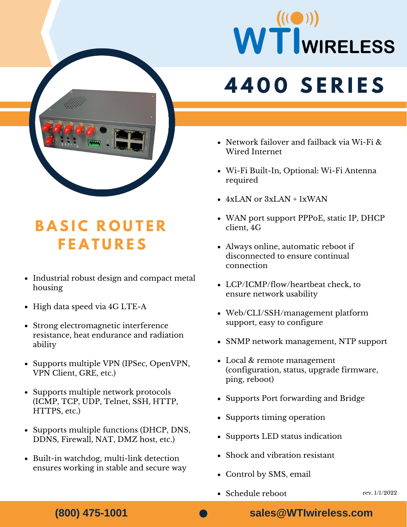

#### **B A S I C R O U T E R F E A T U R E S**

- Industrial robust design and compact metal housing
- High data speed via 4G LTE-A
- Strong electromagnetic interference resistance, heat endurance and radiation ability
- Supports multiple VPN (IPSec, OpenVPN, VPN Client, GRE, etc.)
- Supports multiple network protocols (ICMP, TCP, UDP, Telnet, SSH, HTTP, HTTPS, etc.)
- Supports multiple functions (DHCP, DNS, DDNS, Firewall, NAT, DMZ host, etc.)
- Built-in watchdog, multi-link detection ensures working in stable and secure way

# WTWIRELESS

### **4 4 0 0 S E R I E S**

- Network failover and failback via Wi-Fi & Wired Internet
- Wi-Fi Built-In, Optional: Wi-Fi Antenna required
- $\bullet$  4xLAN or 3xLAN + 1xWAN
- WAN port support PPPoE, static IP, DHCP client, 4G
- Always online, automatic reboot if disconnected to ensure continual connection
- LCP/ICMP/flow/heartbeat check, to ensure network usability
- Web/CLI/SSH/management platform support, easy to configure
- SNMP network management, NTP support
- Local & remote management (configuration, status, upgrade firmware, ping, reboot)
- Supports Port forwarding and Bridge
- Supports timing operation
- Supports LED status indication
- Shock and vibration resistant
- Control by SMS, email
- Schedule reboot

**(800) 475-1001**

**sales@WTIwireless.com**